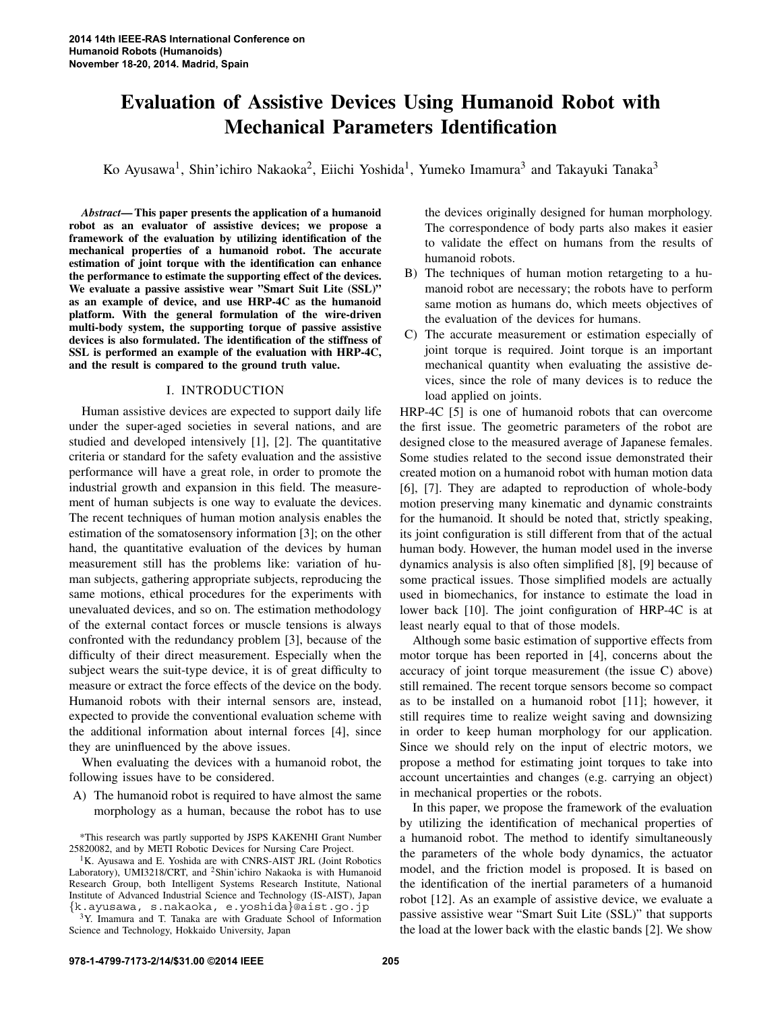# **Evaluation of Assistive Devices Using Humanoid Robot with Mechanical Parameters Identification**

Ko Ayusawa<sup>1</sup>, Shin'ichiro Nakaoka<sup>2</sup>, Eiichi Yoshida<sup>1</sup>, Yumeko Imamura<sup>3</sup> and Takayuki Tanaka<sup>3</sup>

*Abstract***— This paper presents the application of a humanoid robot as an evaluator of assistive devices; we propose a framework of the evaluation by utilizing identification of the mechanical properties of a humanoid robot. The accurate estimation of joint torque with the identification can enhance the performance to estimate the supporting effect of the devices. We evaluate a passive assistive wear "Smart Suit Lite (SSL)" as an example of device, and use HRP-4C as the humanoid platform. With the general formulation of the wire-driven multi-body system, the supporting torque of passive assistive devices is also formulated. The identification of the stiffness of SSL is performed an example of the evaluation with HRP-4C, and the result is compared to the ground truth value.**

# I. INTRODUCTION

Human assistive devices are expected to support daily life under the super-aged societies in several nations, and are studied and developed intensively [1], [2]. The quantitative criteria or standard for the safety evaluation and the assistive performance will have a great role, in order to promote the industrial growth and expansion in this field. The measurement of human subjects is one way to evaluate the devices. The recent techniques of human motion analysis enables the estimation of the somatosensory information [3]; on the other hand, the quantitative evaluation of the devices by human measurement still has the problems like: variation of human subjects, gathering appropriate subjects, reproducing the same motions, ethical procedures for the experiments with unevaluated devices, and so on. The estimation methodology of the external contact forces or muscle tensions is always confronted with the redundancy problem [3], because of the difficulty of their direct measurement. Especially when the subject wears the suit-type device, it is of great difficulty to measure or extract the force effects of the device on the body. Humanoid robots with their internal sensors are, instead, expected to provide the conventional evaluation scheme with the additional information about internal forces [4], since they are uninfluenced by the above issues.

When evaluating the devices with a humanoid robot, the following issues have to be considered.

A) The humanoid robot is required to have almost the same morphology as a human, because the robot has to use

\*This research was partly supported by JSPS KAKENHI Grant Number 25820082, and by METI Robotic Devices for Nursing Care Project.

<sup>1</sup>K. Ayusawa and E. Yoshida are with CNRS-AIST JRL (Joint Robotics Laboratory), UMI3218/CRT, and <sup>2</sup>Shin'ichiro Nakaoka is with Humanoid Research Group, both Intelligent Systems Research Institute, National Institute of Advanced Industrial Science and Technology (IS-AIST), Japan

*{*k.ayusawa, s.nakaoka, e.yoshida*}*@aist.go.jp 3Y. Imamura and T. Tanaka are with Graduate School of Information Science and Technology, Hokkaido University, Japan

the devices originally designed for human morphology. The correspondence of body parts also makes it easier to validate the effect on humans from the results of humanoid robots.

- B) The techniques of human motion retargeting to a humanoid robot are necessary; the robots have to perform same motion as humans do, which meets objectives of the evaluation of the devices for humans.
- C) The accurate measurement or estimation especially of joint torque is required. Joint torque is an important mechanical quantity when evaluating the assistive devices, since the role of many devices is to reduce the load applied on joints.

HRP-4C [5] is one of humanoid robots that can overcome the first issue. The geometric parameters of the robot are designed close to the measured average of Japanese females. Some studies related to the second issue demonstrated their created motion on a humanoid robot with human motion data [6], [7]. They are adapted to reproduction of whole-body motion preserving many kinematic and dynamic constraints for the humanoid. It should be noted that, strictly speaking, its joint configuration is still different from that of the actual human body. However, the human model used in the inverse dynamics analysis is also often simplified [8], [9] because of some practical issues. Those simplified models are actually used in biomechanics, for instance to estimate the load in lower back [10]. The joint configuration of HRP-4C is at least nearly equal to that of those models.

Although some basic estimation of supportive effects from motor torque has been reported in [4], concerns about the accuracy of joint torque measurement (the issue C) above) still remained. The recent torque sensors become so compact as to be installed on a humanoid robot [11]; however, it still requires time to realize weight saving and downsizing in order to keep human morphology for our application. Since we should rely on the input of electric motors, we propose a method for estimating joint torques to take into account uncertainties and changes (e.g. carrying an object) in mechanical properties or the robots.

In this paper, we propose the framework of the evaluation by utilizing the identification of mechanical properties of a humanoid robot. The method to identify simultaneously the parameters of the whole body dynamics, the actuator model, and the friction model is proposed. It is based on the identification of the inertial parameters of a humanoid robot [12]. As an example of assistive device, we evaluate a passive assistive wear "Smart Suit Lite (SSL)" that supports the load at the lower back with the elastic bands [2]. We show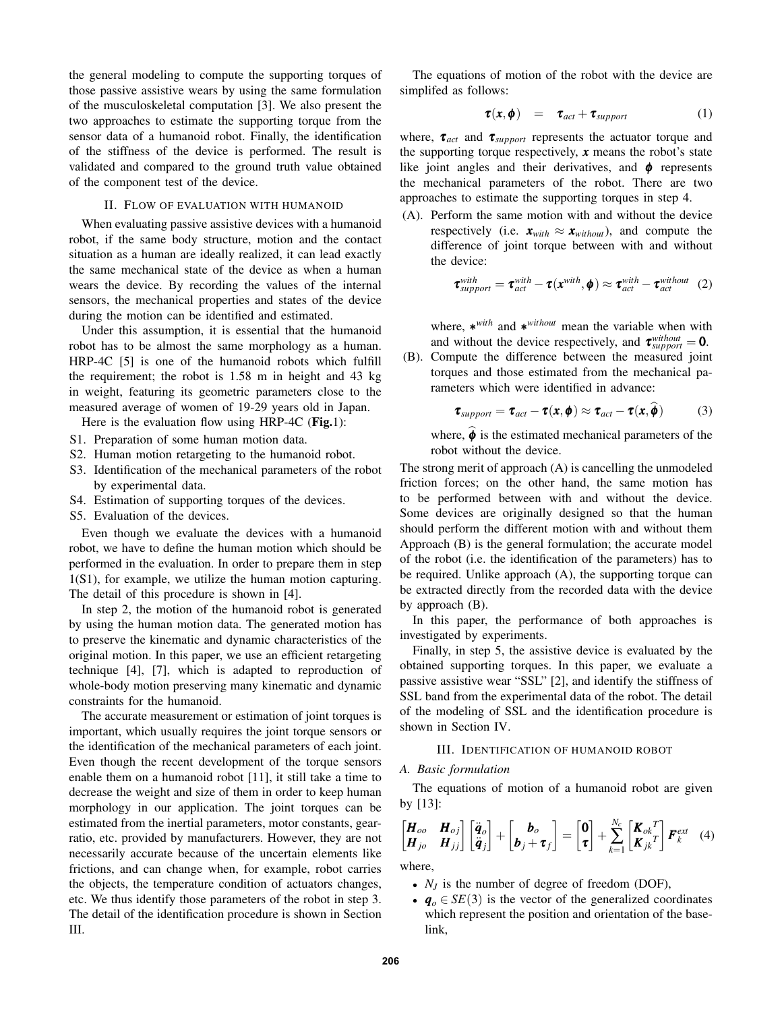the general modeling to compute the supporting torques of those passive assistive wears by using the same formulation of the musculoskeletal computation [3]. We also present the two approaches to estimate the supporting torque from the sensor data of a humanoid robot. Finally, the identification of the stiffness of the device is performed. The result is validated and compared to the ground truth value obtained of the component test of the device.

#### II. FLOW OF EVALUATION WITH HUMANOID

When evaluating passive assistive devices with a humanoid robot, if the same body structure, motion and the contact situation as a human are ideally realized, it can lead exactly the same mechanical state of the device as when a human wears the device. By recording the values of the internal sensors, the mechanical properties and states of the device during the motion can be identified and estimated.

Under this assumption, it is essential that the humanoid robot has to be almost the same morphology as a human. HRP-4C [5] is one of the humanoid robots which fulfill the requirement; the robot is 1.58 m in height and 43 kg in weight, featuring its geometric parameters close to the measured average of women of 19-29 years old in Japan.

Here is the evaluation flow using HRP-4C (**Fig.**1):

- S1. Preparation of some human motion data.
- S2. Human motion retargeting to the humanoid robot.
- S3. Identification of the mechanical parameters of the robot by experimental data.
- S4. Estimation of supporting torques of the devices.
- S5. Evaluation of the devices.

Even though we evaluate the devices with a humanoid robot, we have to define the human motion which should be performed in the evaluation. In order to prepare them in step 1(S1), for example, we utilize the human motion capturing. The detail of this procedure is shown in [4].

In step 2, the motion of the humanoid robot is generated by using the human motion data. The generated motion has to preserve the kinematic and dynamic characteristics of the original motion. In this paper, we use an efficient retargeting technique [4], [7], which is adapted to reproduction of whole-body motion preserving many kinematic and dynamic constraints for the humanoid.

The accurate measurement or estimation of joint torques is important, which usually requires the joint torque sensors or the identification of the mechanical parameters of each joint. Even though the recent development of the torque sensors enable them on a humanoid robot [11], it still take a time to decrease the weight and size of them in order to keep human morphology in our application. The joint torques can be estimated from the inertial parameters, motor constants, gearratio, etc. provided by manufacturers. However, they are not necessarily accurate because of the uncertain elements like frictions, and can change when, for example, robot carries the objects, the temperature condition of actuators changes, etc. We thus identify those parameters of the robot in step 3. The detail of the identification procedure is shown in Section III.

The equations of motion of the robot with the device are simplifed as follows:

$$
\boldsymbol{\tau}(\boldsymbol{x},\boldsymbol{\phi}) = \boldsymbol{\tau}_{act} + \boldsymbol{\tau}_{support} \tag{1}
$$

where,  $\tau_{act}$  and  $\tau_{support}$  represents the actuator torque and the supporting torque respectively, *x* means the robot's state like joint angles and their derivatives, and  $\phi$  represents the mechanical parameters of the robot. There are two approaches to estimate the supporting torques in step 4.

(A). Perform the same motion with and without the device respectively (i.e.  $\mathbf{x}_{with} \approx \mathbf{x}_{without}$ ), and compute the difference of joint torque between with and without the device:

$$
\tau_{support}^{with} = \tau_{act}^{with} - \tau(x^{with}, \phi) \approx \tau_{act}^{with} - \tau_{act}^{without} (2)
$$

where, <sup>∗</sup>*with* and <sup>∗</sup>*without* mean the variable when with and without the device respectively, and  $\tau_{support}^{without} = 0$ .

(B). Compute the difference between the measured joint torques and those estimated from the mechanical parameters which were identified in advance:

$$
\boldsymbol{\tau}_{support} = \boldsymbol{\tau}_{act} - \boldsymbol{\tau}(\boldsymbol{x}, \boldsymbol{\phi}) \approx \boldsymbol{\tau}_{act} - \boldsymbol{\tau}(\boldsymbol{x}, \boldsymbol{\phi}) \tag{3}
$$

where,  $\phi$  is the estimated mechanical parameters of the robot without the device.

The strong merit of approach (A) is cancelling the unmodeled friction forces; on the other hand, the same motion has to be performed between with and without the device. Some devices are originally designed so that the human should perform the different motion with and without them Approach (B) is the general formulation; the accurate model of the robot (i.e. the identification of the parameters) has to be required. Unlike approach (A), the supporting torque can be extracted directly from the recorded data with the device by approach (B).

In this paper, the performance of both approaches is investigated by experiments.

Finally, in step 5, the assistive device is evaluated by the obtained supporting torques. In this paper, we evaluate a passive assistive wear "SSL" [2], and identify the stiffness of SSL band from the experimental data of the robot. The detail of the modeling of SSL and the identification procedure is shown in Section IV.

## III. IDENTIFICATION OF HUMANOID ROBOT

## *A. Basic formulation*

The equations of motion of a humanoid robot are given by [13]:

$$
\begin{bmatrix} \boldsymbol{H}_{oo} & \boldsymbol{H}_{oj} \\ \boldsymbol{H}_{jo} & \boldsymbol{H}_{jj} \end{bmatrix} \begin{bmatrix} \ddot{\boldsymbol{q}}_{o} \\ \ddot{\boldsymbol{q}}_{j} \end{bmatrix} + \begin{bmatrix} \boldsymbol{b}_{o} \\ \boldsymbol{b}_{j} + \boldsymbol{\tau}_{f} \end{bmatrix} = \begin{bmatrix} \boldsymbol{0} \\ \boldsymbol{\tau} \end{bmatrix} + \sum_{k=1}^{N_c} \begin{bmatrix} \boldsymbol{K}_{ok}^T \\ \boldsymbol{K}_{jk}^T \end{bmatrix} \boldsymbol{F}_{k}^{ext} \quad (4)
$$
\nwhere,

- *N<sub>J</sub>* is the number of degree of freedom (DOF),
- $q_0 \in SE(3)$  is the vector of the generalized coordinates which represent the position and orientation of the baselink,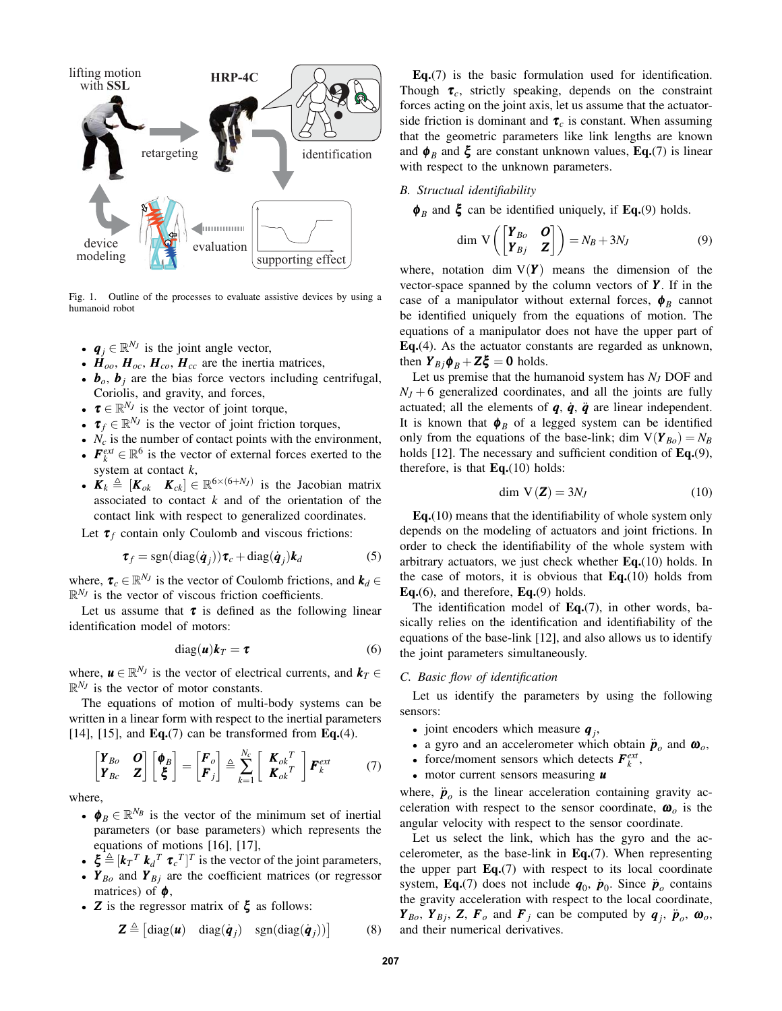

Fig. 1. Outline of the processes to evaluate assistive devices by using a humanoid robot

- $q_i \in \mathbb{R}^{N_f}$  is the joint angle vector,
- $\vec{H}_{oo}, H_{oc}, H_{co}, H_{cc}$  are the inertia matrices,
- **,**  $**b**<sub>j</sub>$  **are the bias force vectors including centrifugal,** Coriolis, and gravity, and forces,
- $\tau \in \mathbb{R}^{N_J}$  is the vector of joint torque.
- $\tau_f \in \mathbb{R}^{N_J}$  is the vector of joint friction torques,
- $N_c$  is the number of contact points with the environment,
- $\mathbf{F}_k^{\text{ext}} \in \mathbb{R}^6$  is the vector of external forces exerted to the system at contact *k*,
- $\mathbf{K}_k \triangleq [\mathbf{K}_{ok} \ \mathbf{K}_{ck}] \in \mathbb{R}^{6 \times (6+N_J)}$  is the Jacobian matrix associated to contact *k* and of the orientation of the contact link with respect to generalized coordinates.

Let  $\tau_f$  contain only Coulomb and viscous frictions:

$$
\boldsymbol{\tau}_f = \text{sgn}(\text{diag}(\dot{\boldsymbol{q}}_j))\boldsymbol{\tau}_c + \text{diag}(\dot{\boldsymbol{q}}_j)\boldsymbol{k}_d \tag{5}
$$

where,  $\tau_c \in \mathbb{R}^{N_J}$  is the vector of Coulomb frictions, and  $k_d \in$  $\mathbb{R}^{N_J}$  is the vector of viscous friction coefficients.

Let us assume that  $\tau$  is defined as the following linear identification model of motors:

$$
diag(\boldsymbol{u})\boldsymbol{k}_T = \boldsymbol{\tau} \tag{6}
$$

where,  $\mathbf{u} \in \mathbb{R}^{N_f}$  is the vector of electrical currents, and  $\mathbf{k}_T \in$  $\mathbb{R}^{N_J}$  is the vector of motor constants.

The equations of motion of multi-body systems can be written in a linear form with respect to the inertial parameters [14], [15], and **Eq.**(7) can be transformed from **Eq.**(4).

$$
\begin{bmatrix} \boldsymbol{Y}_{Bo} & \boldsymbol{O} \\ \boldsymbol{Y}_{Bc} & \boldsymbol{Z} \end{bmatrix} \begin{bmatrix} \boldsymbol{\phi}_B \\ \boldsymbol{\xi} \end{bmatrix} = \begin{bmatrix} \boldsymbol{F}_o \\ \boldsymbol{F}_j \end{bmatrix} \triangleq \sum_{k=1}^{N_c} \begin{bmatrix} \boldsymbol{K}_{ok}^T \\ \boldsymbol{K}_{ok}^T \end{bmatrix} \boldsymbol{F}_k^{ext} \tag{7}
$$

where,

- $\boldsymbol{\phi}_B \in \mathbb{R}^{N_B}$  is the vector of the minimum set of inertial parameters (or base parameters) which represents the equations of motions [16], [17],
- $\xi \triangleq [k_T^T k_d^T \tau_c^T]^T$  is the vector of the joint parameters,
- $Y_{Bo}$  and  $Y_{Bi}$  are the coefficient matrices (or regressor matrices) of  $\phi$ ,
- **Z** is the regressor matrix of  $\xi$  as follows:

$$
\mathbf{Z} \triangleq \begin{bmatrix} \text{diag}(\mathbf{u}) & \text{diag}(\dot{\mathbf{q}}_j) & \text{sgn}(\text{diag}(\dot{\mathbf{q}}_j)) \end{bmatrix} \tag{8}
$$

**Eq.**(7) is the basic formulation used for identification. Though  $\tau_c$ , strictly speaking, depends on the constraint forces acting on the joint axis, let us assume that the actuatorside friction is dominant and  $\tau_c$  is constant. When assuming that the geometric parameters like link lengths are known and  $\phi_B$  and  $\xi$  are constant unknown values, **Eq.**(7) is linear with respect to the unknown parameters.

### *B. Structual identifiability*

 $\phi_B$  and  $\xi$  can be identified uniquely, if **Eq.**(9) holds.

$$
\dim \mathbf{V}\left(\begin{bmatrix} \mathbf{Y}_{Bo} & \mathbf{O} \\ \mathbf{Y}_{Bj} & \mathbf{Z} \end{bmatrix}\right) = N_B + 3N_J \tag{9}
$$

where, notation dim  $V(Y)$  means the dimension of the vector-space spanned by the column vectors of *Y* . If in the case of a manipulator without external forces,  $\phi_B$  cannot be identified uniquely from the equations of motion. The equations of a manipulator does not have the upper part of **Eq.**(4). As the actuator constants are regarded as unknown, then  $Y_{B_i}\phi_B + Z\xi = 0$  holds.

Let us premise that the humanoid system has *NJ* DOF and  $N_J + 6$  generalized coordinates, and all the joints are fully actuated; all the elements of  $q$ ,  $\dot{q}$ ,  $\ddot{q}$  are linear independent. It is known that  $\phi_B$  of a legged system can be identified only from the equations of the base-link; dim  $V(Y_{Bo}) = N_B$ holds [12]. The necessary and sufficient condition of **Eq.**(9), therefore, is that **Eq.**(10) holds:

$$
\dim V(\mathbf{Z}) = 3N_J \tag{10}
$$

**Eq.**(10) means that the identifiability of whole system only depends on the modeling of actuators and joint frictions. In order to check the identifiability of the whole system with arbitrary actuators, we just check whether **Eq.**(10) holds. In the case of motors, it is obvious that **Eq.**(10) holds from **Eq.**(6), and therefore, **Eq.**(9) holds.

The identification model of **Eq.**(7), in other words, basically relies on the identification and identifiability of the equations of the base-link [12], and also allows us to identify the joint parameters simultaneously.

## *C. Basic flow of identification*

Let us identify the parameters by using the following sensors:

- joint encoders which measure  $q_i$ ,
- a gyro and an accelerometer which obtain  $\ddot{\boldsymbol{p}}_o$  and  $\boldsymbol{\omega}_o$ ,
- force/moment sensors which detects  $\boldsymbol{F}^{ext}_k$ ,
- motor current sensors measuring *u*

where,  $\ddot{\boldsymbol{p}}_o$  is the linear acceleration containing gravity acceleration with respect to the sensor coordinate,  $\boldsymbol{\omega}_o$  is the angular velocity with respect to the sensor coordinate.

Let us select the link, which has the gyro and the accelerometer, as the base-link in **Eq.**(7). When representing the upper part **Eq.**(7) with respect to its local coordinate system, **Eq.**(7) does not include  $q_0$ ,  $\dot{p}_0$ . Since  $\ddot{p}_0$  contains the gravity acceleration with respect to the local coordinate, *Y*<sub>Bo</sub>, *Y*<sub>Bj</sub>, **Z**, *F*<sub>o</sub> and *F*<sub>j</sub> can be computed by  $q_j$ ,  $\ddot{p}_o$ ,  $\omega_o$ , and their numerical derivatives.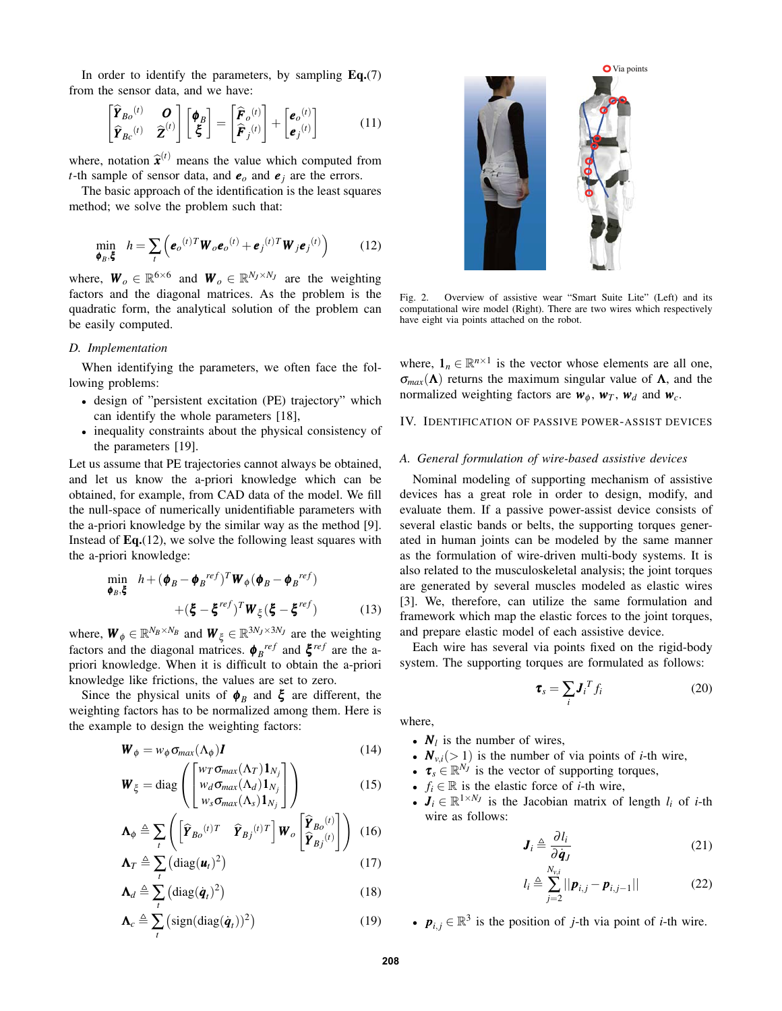In order to identify the parameters, by sampling **Eq.**(7) from the sensor data, and we have:

$$
\begin{bmatrix} \widehat{\mathbf{Y}}_{Bo}^{(t)} & \mathbf{O} \\ \widehat{\mathbf{Y}}_{Bc}^{(t)} & \widehat{\mathbf{Z}}^{(t)} \end{bmatrix} \begin{bmatrix} \boldsymbol{\phi}_B \\ \boldsymbol{\xi} \end{bmatrix} = \begin{bmatrix} \widehat{\boldsymbol{F}}_o^{(t)} \\ \widehat{\boldsymbol{F}}_j^{(t)} \end{bmatrix} + \begin{bmatrix} \boldsymbol{e}_o^{(t)} \\ \boldsymbol{e}_j^{(t)} \end{bmatrix}
$$
(11)

where, notation  $\hat{\mathbf{x}}^{(t)}$  means the value which computed from the symple of sensor data, and  $\mathbf{z}_t$  and  $\mathbf{z}_t$  are the errors *t*-th sample of sensor data, and  $e_0$  and  $e_i$  are the errors.

The basic approach of the identification is the least squares method; we solve the problem such that:

$$
\min_{\boldsymbol{\phi}_B, \boldsymbol{\xi}} \quad h = \sum_t \left( \boldsymbol{e}_o^{(t)T} \boldsymbol{W}_o \boldsymbol{e}_o^{(t)} + \boldsymbol{e}_j^{(t)T} \boldsymbol{W}_j \boldsymbol{e}_j^{(t)} \right) \tag{12}
$$

where,  $W_o \in \mathbb{R}^{6 \times 6}$  and  $W_o \in \mathbb{R}^{N_J \times N_J}$  are the weighting factors and the diagonal matrices. As the problem is the quadratic form, the analytical solution of the problem can be easily computed.

#### *D. Implementation*

When identifying the parameters, we often face the following problems:

- design of "persistent excitation (PE) trajectory" which can identify the whole parameters [18],
- inequality constraints about the physical consistency of the parameters [19].

Let us assume that PE trajectories cannot always be obtained, and let us know the a-priori knowledge which can be obtained, for example, from CAD data of the model. We fill the null-space of numerically unidentifiable parameters with the a-priori knowledge by the similar way as the method [9]. Instead of **Eq.**(12), we solve the following least squares with the a-priori knowledge:

$$
\min_{\boldsymbol{\phi}_B, \boldsymbol{\xi}} \quad h + (\boldsymbol{\phi}_B - \boldsymbol{\phi}_B{}^{ref})^T \boldsymbol{W}_{\phi} (\boldsymbol{\phi}_B - \boldsymbol{\phi}_B{}^{ref}) \n+ (\boldsymbol{\xi} - \boldsymbol{\xi}^{ref})^T \boldsymbol{W}_{\xi} (\boldsymbol{\xi} - \boldsymbol{\xi}^{ref})
$$
\n(13)

where,  $\mathbf{W}_{\phi} \in \mathbb{R}^{N_B \times N_B}$  and  $\mathbf{W}_{\xi} \in \mathbb{R}^{3N_J \times 3N_J}$  are the weighting factors and the diagonal matrices.  $\phi_B^{ref}$  and  $\xi^{ref}$  are the apriori knowledge. When it is difficult to obtain the a-priori knowledge like frictions, the values are set to zero.

Since the physical units of  $\phi_B$  and  $\xi$  are different, the weighting factors has to be normalized among them. Here is the example to design the weighting factors:

$$
\mathbf{W}_{\phi} = w_{\phi} \sigma_{max}(\Lambda_{\phi}) \mathbf{I}
$$
 (14)

$$
\boldsymbol{W}_{\xi} = \text{diag}\left(\begin{bmatrix} w_T \sigma_{max}(\Lambda_T) \mathbf{1}_{N_j} \\ w_d \sigma_{max}(\Lambda_d) \mathbf{1}_{N_j} \\ w_s \sigma_{max}(\Lambda_s) \mathbf{1}_{N_j} \end{bmatrix}\right) \tag{15}
$$

$$
\mathbf{\Lambda}_{\phi} \triangleq \sum_{t} \left( \begin{bmatrix} \widehat{\mathbf{Y}}_{Bo}(t)T & \widehat{\mathbf{Y}}_{Bj}(t)T \end{bmatrix} \mathbf{W}_{o} \begin{bmatrix} \widehat{\mathbf{Y}}_{Bo}(t) \\ \widehat{\mathbf{Y}}_{Bj}(t) \end{bmatrix} \right) (16)
$$

$$
\mathbf{\Lambda}_T \triangleq \sum_t \left( \text{diag}(\mathbf{u}_t)^2 \right) \tag{17}
$$

$$
\mathbf{\Lambda}_d \triangleq \sum_t \left( \text{diag}(\dot{\mathbf{q}}_t)^2 \right) \tag{18}
$$

$$
\mathbf{\Lambda}_c \triangleq \sum_t \left( \text{sign}(\text{diag}(\dot{\mathbf{q}}_t))^2 \right) \tag{19}
$$



Fig. 2. Overview of assistive wear "Smart Suite Lite" (Left) and its computational wire model (Right). There are two wires which respectively have eight via points attached on the robot.

where,  $\mathbf{1}_n \in \mathbb{R}^{n \times 1}$  is the vector whose elements are all one,  $\sigma_{max}(\Lambda)$  returns the maximum singular value of  $\Lambda$ , and the normalized weighting factors are  $w_{\phi}$ ,  $w_T$ ,  $w_d$  and  $w_c$ .

# IV. IDENTIFICATION OF PASSIVE POWER-ASSIST DEVICES

#### *A. General formulation of wire-based assistive devices*

Nominal modeling of supporting mechanism of assistive devices has a great role in order to design, modify, and evaluate them. If a passive power-assist device consists of several elastic bands or belts, the supporting torques generated in human joints can be modeled by the same manner as the formulation of wire-driven multi-body systems. It is also related to the musculoskeletal analysis; the joint torques are generated by several muscles modeled as elastic wires [3]. We, therefore, can utilize the same formulation and framework which map the elastic forces to the joint torques, and prepare elastic model of each assistive device.

Each wire has several via points fixed on the rigid-body system. The supporting torques are formulated as follows:

$$
\boldsymbol{\tau}_s = \sum_i \boldsymbol{J}_i^T f_i \tag{20}
$$

where,

- $N_l$  is the number of wires,
- $N_{v,i}$  (> 1) is the number of via points of *i*-th wire,
- $\tau_s \in \mathbb{R}^{N_J}$  is the vector of supporting torques,
- $f_i \in \mathbb{R}$  is the elastic force of *i*-th wire.
- $J_i \in \mathbb{R}^{1 \times N_J}$  is the Jacobian matrix of length  $l_i$  of *i*-th wire as follows:

$$
\mathbf{J}_i \triangleq \frac{\partial l_i}{\partial \dot{\mathbf{q}}_J} \tag{21}
$$

$$
l_i \triangleq \sum_{j=2}^{N_{v,i}} ||\mathbf{p}_{i,j} - \mathbf{p}_{i,j-1}||
$$
 (22)

•  $p_{i,j} \in \mathbb{R}^{3}$  is the position of *j*-th via point of *i*-th wire.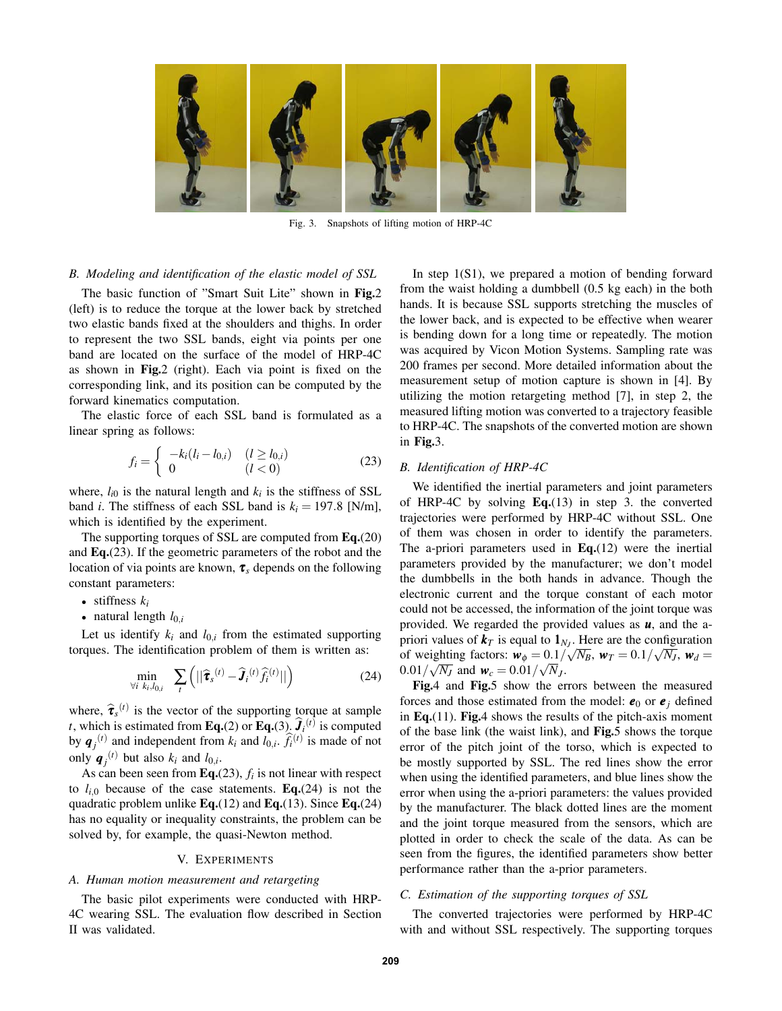

Fig. 3. Snapshots of lifting motion of HRP-4C

# *B. Modeling and identification of the elastic model of SSL*

The basic function of "Smart Suit Lite" shown in **Fig.**2 (left) is to reduce the torque at the lower back by stretched two elastic bands fixed at the shoulders and thighs. In order to represent the two SSL bands, eight via points per one band are located on the surface of the model of HRP-4C as shown in **Fig.**2 (right). Each via point is fixed on the corresponding link, and its position can be computed by the forward kinematics computation.

The elastic force of each SSL band is formulated as a linear spring as follows:

$$
f_i = \begin{cases} -k_i(l_i - l_{0,i}) & (l \ge l_{0,i}) \\ 0 & (l < 0) \end{cases}
$$
 (23)

where,  $l_{i0}$  is the natural length and  $k_i$  is the stiffness of SSL band *i*. The stiffness of each SSL band is  $k_i = 197.8$  [N/m], which is identified by the experiment.

The supporting torques of SSL are computed from **Eq.**(20) and **Eq.**(23). If the geometric parameters of the robot and the location of via points are known,  $\tau_s$  depends on the following constant parameters:

- stiffness *ki*
- natural length  $l_{0,i}$

Let us identify  $k_i$  and  $l_{0,i}$  from the estimated supporting torques. The identification problem of them is written as:

$$
\min_{\forall i \ k_i, l_{0,i}} \sum_{t} \left( ||\widehat{\boldsymbol{\tau}}_s^{(t)} - \widehat{\boldsymbol{J}}_i^{(t)} \widehat{f}_i^{(t)}|| \right) \tag{24}
$$

where,  $\hat{\tau}_{s}^{(t)}$  is the vector of the supporting torque at sample which is estimated from **Eq.**(2) or **Eq.**(3).  $\hat{J}_i^{(t)}$  is computed<br>  $\hat{J}_i^{(t)}$  is computed by  $\boldsymbol{q}_j^{(t)}$  and independent from  $k_i$  and  $l_{0,i}$ .  $\hat{f}_i^{(t)}$  is made of not only  $\boldsymbol{q}_j^{(t)}$  but also  $k_i$  and  $l_{0,i}$ .

As can been seen from **Eq.**(23), *fi* is not linear with respect to  $l_{i,0}$  because of the case statements. **Eq.**(24) is not the quadratic problem unlike **Eq.**(12) and **Eq.**(13). Since **Eq.**(24) has no equality or inequality constraints, the problem can be solved by, for example, the quasi-Newton method.

### V. EXPERIMENTS

#### *A. Human motion measurement and retargeting*

The basic pilot experiments were conducted with HRP-4C wearing SSL. The evaluation flow described in Section II was validated.

In step  $1(S1)$ , we prepared a motion of bending forward from the waist holding a dumbbell (0.5 kg each) in the both hands. It is because SSL supports stretching the muscles of the lower back, and is expected to be effective when wearer is bending down for a long time or repeatedly. The motion was acquired by Vicon Motion Systems. Sampling rate was 200 frames per second. More detailed information about the measurement setup of motion capture is shown in [4]. By utilizing the motion retargeting method [7], in step 2, the measured lifting motion was converted to a trajectory feasible to HRP-4C. The snapshots of the converted motion are shown in **Fig.**3.

## *B. Identification of HRP-4C*

We identified the inertial parameters and joint parameters of HRP-4C by solving **Eq.**(13) in step 3. the converted trajectories were performed by HRP-4C without SSL. One of them was chosen in order to identify the parameters. The a-priori parameters used in **Eq.**(12) were the inertial parameters provided by the manufacturer; we don't model the dumbbells in the both hands in advance. Though the electronic current and the torque constant of each motor could not be accessed, the information of the joint torque was provided. We regarded the provided values as *u*, and the apriori values of  $\mathbf{k}_T$  is equal to  $\mathbf{1}_{N_t}$ . Here are the configuration of weighting factors:  $w_{\phi} = 0.1/\sqrt{N_B}$ ,  $w_T = 0.1/\sqrt{N_J}$ ,  $w_d =$  $0.01/\sqrt{N_J}$  and  $\mathbf{w}_c = 0.01/\sqrt{N_J}$ .

**Fig.**4 and **Fig.**5 show the errors between the measured forces and those estimated from the model:  $e_0$  or  $e_j$  defined in **Eq.**(11). **Fig.**4 shows the results of the pitch-axis moment of the base link (the waist link), and **Fig.**5 shows the torque error of the pitch joint of the torso, which is expected to be mostly supported by SSL. The red lines show the error when using the identified parameters, and blue lines show the error when using the a-priori parameters: the values provided by the manufacturer. The black dotted lines are the moment and the joint torque measured from the sensors, which are plotted in order to check the scale of the data. As can be seen from the figures, the identified parameters show better performance rather than the a-prior parameters.

#### *C. Estimation of the supporting torques of SSL*

The converted trajectories were performed by HRP-4C with and without SSL respectively. The supporting torques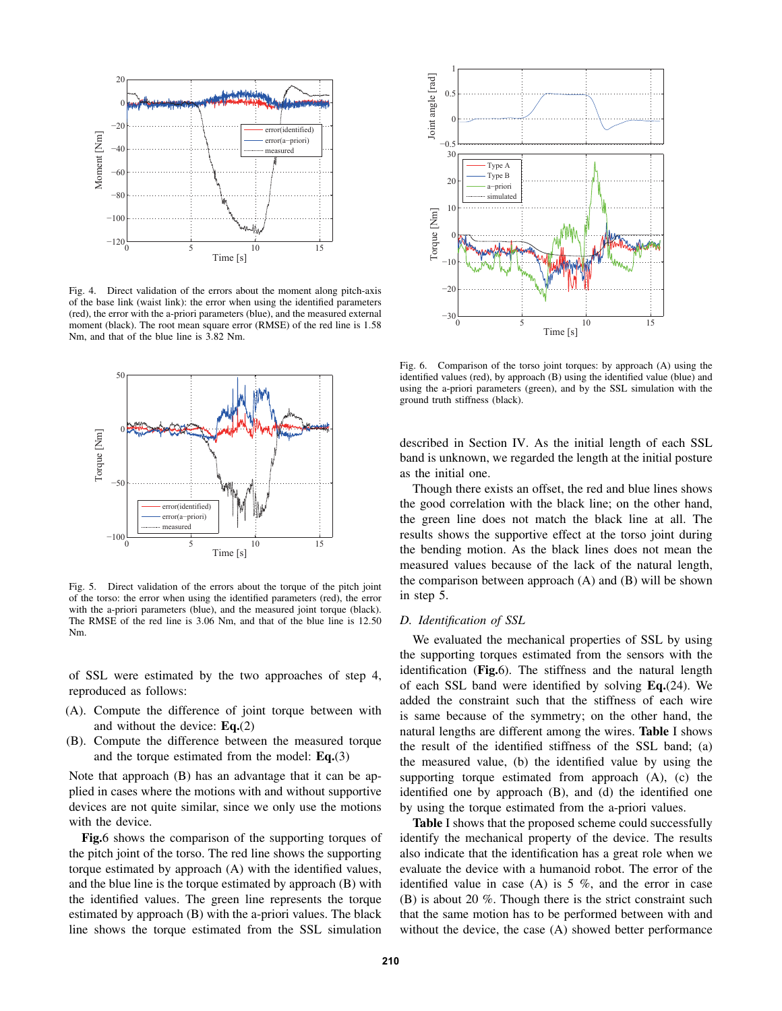

Fig. 4. Direct validation of the errors about the moment along pitch-axis of the base link (waist link): the error when using the identified parameters (red), the error with the a-priori parameters (blue), and the measured external moment (black). The root mean square error (RMSE) of the red line is 1*.*58 Nm, and that of the blue line is 3*.*82 Nm.



Fig. 5. Direct validation of the errors about the torque of the pitch joint of the torso: the error when using the identified parameters (red), the error with the a-priori parameters (blue), and the measured joint torque (black). The RMSE of the red line is 3*.*06 Nm, and that of the blue line is 12*.*50 Nm.

of SSL were estimated by the two approaches of step 4, reproduced as follows:

- (A). Compute the difference of joint torque between with and without the device: **Eq.**(2)
- (B). Compute the difference between the measured torque and the torque estimated from the model: **Eq.**(3)

Note that approach (B) has an advantage that it can be applied in cases where the motions with and without supportive devices are not quite similar, since we only use the motions with the device.

**Fig.**6 shows the comparison of the supporting torques of the pitch joint of the torso. The red line shows the supporting torque estimated by approach (A) with the identified values, and the blue line is the torque estimated by approach (B) with the identified values. The green line represents the torque estimated by approach (B) with the a-priori values. The black line shows the torque estimated from the SSL simulation



Fig. 6. Comparison of the torso joint torques: by approach (A) using the identified values (red), by approach (B) using the identified value (blue) and using the a-priori parameters (green), and by the SSL simulation with the ground truth stiffness (black).

described in Section IV. As the initial length of each SSL band is unknown, we regarded the length at the initial posture as the initial one.

Though there exists an offset, the red and blue lines shows the good correlation with the black line; on the other hand, the green line does not match the black line at all. The results shows the supportive effect at the torso joint during the bending motion. As the black lines does not mean the measured values because of the lack of the natural length, the comparison between approach  $(A)$  and  $(B)$  will be shown in step 5.

# *D. Identification of SSL*

We evaluated the mechanical properties of SSL by using the supporting torques estimated from the sensors with the identification (**Fig.**6). The stiffness and the natural length of each SSL band were identified by solving **Eq.**(24). We added the constraint such that the stiffness of each wire is same because of the symmetry; on the other hand, the natural lengths are different among the wires. **Table** I shows the result of the identified stiffness of the SSL band; (a) the measured value, (b) the identified value by using the supporting torque estimated from approach (A), (c) the identified one by approach (B), and (d) the identified one by using the torque estimated from the a-priori values.

**Table** I shows that the proposed scheme could successfully identify the mechanical property of the device. The results also indicate that the identification has a great role when we evaluate the device with a humanoid robot. The error of the identified value in case (A) is 5 %, and the error in case (B) is about 20 %. Though there is the strict constraint such that the same motion has to be performed between with and without the device, the case (A) showed better performance